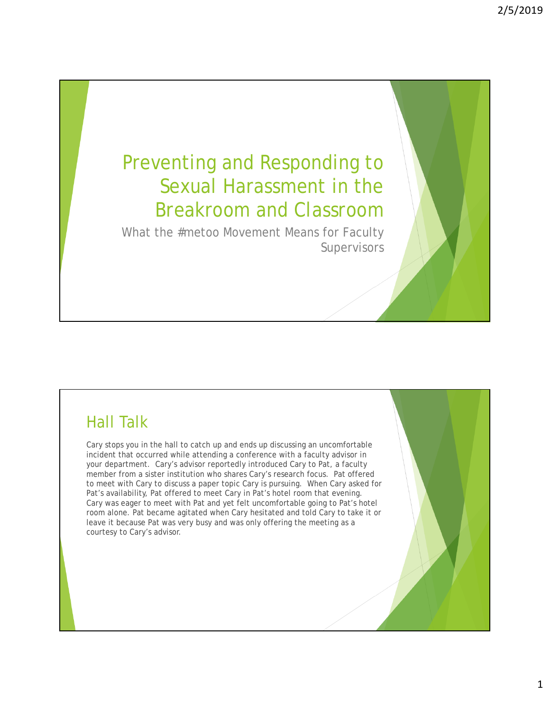# Preventing and Responding to Sexual Harassment in the Breakroom and Classroom

What the #metoo Movement Means for Faculty **Supervisors** 

# Hall Talk

Cary stops you in the hall to catch up and ends up discussing an uncomfortable incident that occurred while attending a conference with a faculty advisor in your department. Cary's advisor reportedly introduced Cary to Pat, a faculty member from a sister institution who shares Cary's research focus. Pat offered to meet with Cary to discuss a paper topic Cary is pursuing. When Cary asked for Pat's availability, Pat offered to meet Cary in Pat's hotel room that evening. Cary was eager to meet with Pat and yet felt uncomfortable going to Pat's hotel room alone. Pat became agitated when Cary hesitated and told Cary to take it or leave it because Pat was very busy and was only offering the meeting as a courtesy to Cary's advisor.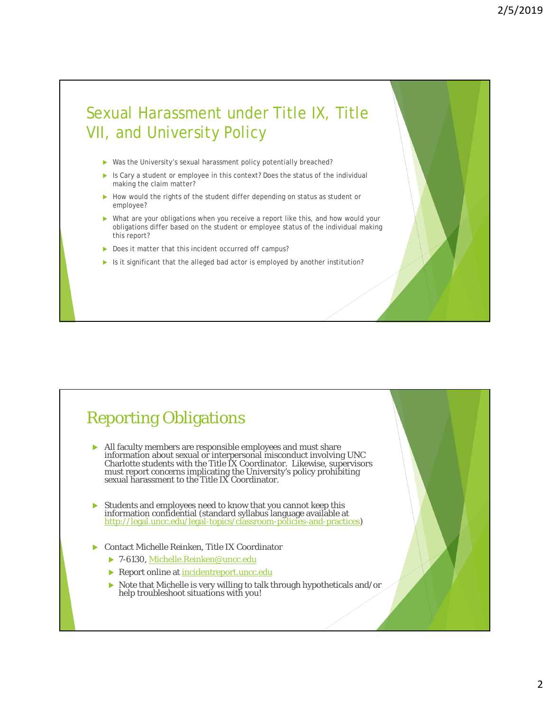# Sexual Harassment under Title IX, Title VII, and University Policy

- ▶ Was the University's sexual harassment policy potentially breached?
- Is Cary a student or employee in this context? Does the status of the individual making the claim matter?
- How would the rights of the student differ depending on status as student or employee?
- ▶ What are your obligations when you receive a report like this, and how would your obligations differ based on the student or employee status of the individual making this report?
- Does it matter that this incident occurred off campus?
- In It significant that the alleged bad actor is employed by another institution?

## Reporting Obligations

- All faculty members are responsible employees and must share information about sexual or interpersonal misconduct involving UNC Charlotte students with the Title IX Coordinator. Likewise, supervisors must report concerns implicating the University's policy prohibiting sexual harassment to the Title IX Coordinator.
- Students and employees need to know that you cannot keep this information confidential (standard syllabus language available at<br><u>http://legal.uncc.edu/legal-topics/classroom-policies-and-practices</u>)
- Contact Michelle Reinken, Title IX Coordinator
	- ▶ 7-6130, Michelle.Reinken@uncc.edu
	- **Report online at incidentreport.uncc.edu**
	- $\triangleright$  Note that Michelle is very willing to talk through hypotheticals and/or help troubleshoot situations with you!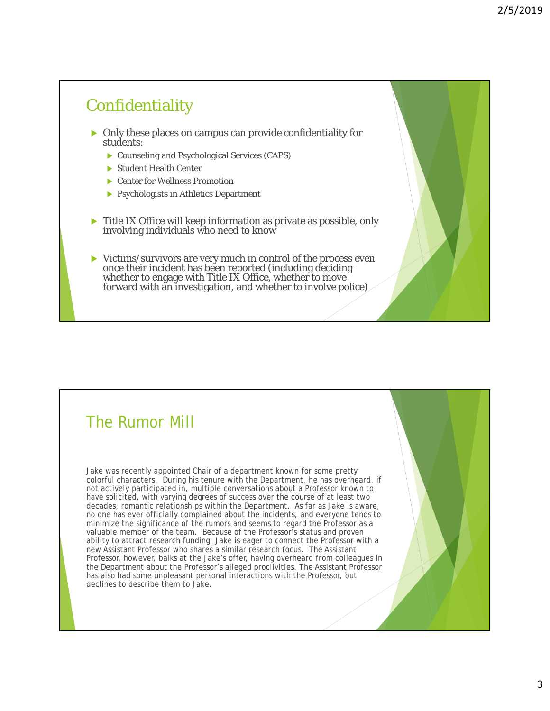#### **Confidentiality**

- Only these places on campus can provide confidentiality for students:
	- Counseling and Psychological Services (CAPS)
	- Student Health Center
	- ▶ Center for Wellness Promotion
	- **Psychologists in Athletics Department**
- Title IX Office will keep information as private as possible, only involving individuals who need to know
- Victims/survivors are very much in control of the process even once their incident has been reported (including deciding whether to engage with Title IX Office, whether to move forward with an investigation, and whether to involve police)

#### The Rumor Mill

Jake was recently appointed Chair of a department known for some pretty colorful characters. During his tenure with the Department, he has overheard, if not actively participated in, multiple conversations about a Professor known to have solicited, with varying degrees of success over the course of at least two decades, romantic relationships within the Department. As far as Jake is aware, no one has ever officially complained about the incidents, and everyone tends to minimize the significance of the rumors and seems to regard the Professor as a valuable member of the team. Because of the Professor's status and proven ability to attract research funding, Jake is eager to connect the Professor with a new Assistant Professor who shares a similar research focus. The Assistant Professor, however, balks at the Jake's offer, having overheard from colleagues in the Department about the Professor's alleged proclivities. The Assistant Professor has also had some unpleasant personal interactions with the Professor, but declines to describe them to Jake.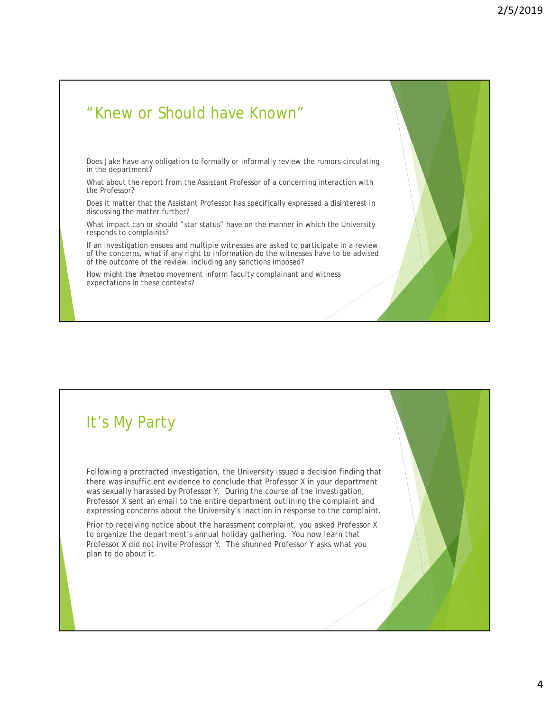#### "Knew or Should have Known"

Does Jake have any obligation to formally or informally review the rumors circulating in the department?

What about the report from the Assistant Professor of a concerning interaction with the Professor?

Does it matter that the Assistant Professor has specifically expressed a disinterest in discussing the matter further?

What impact can or should "star status" have on the manner in which the University responds to complaints?

If an investigation ensues and multiple witnesses are asked to participate in a review of the concerns, what if any right to information do the witnesses have to be advised of the outcome of the review, including any sanctions imposed?

How might the #metoo movement inform faculty complainant and witness expectations in these contexts?

## It's My Party

Following a protracted investigation, the University issued a decision finding that there was insufficient evidence to conclude that Professor X in your department was sexually harassed by Professor Y. During the course of the investigation, Professor X sent an email to the entire department outlining the complaint and expressing concerns about the University's inaction in response to the complaint.

Prior to receiving notice about the harassment complaint, you asked Professor X to organize the department's annual holiday gathering. You now learn that Professor X did not invite Professor Y. The shunned Professor Y asks what you plan to do about it.

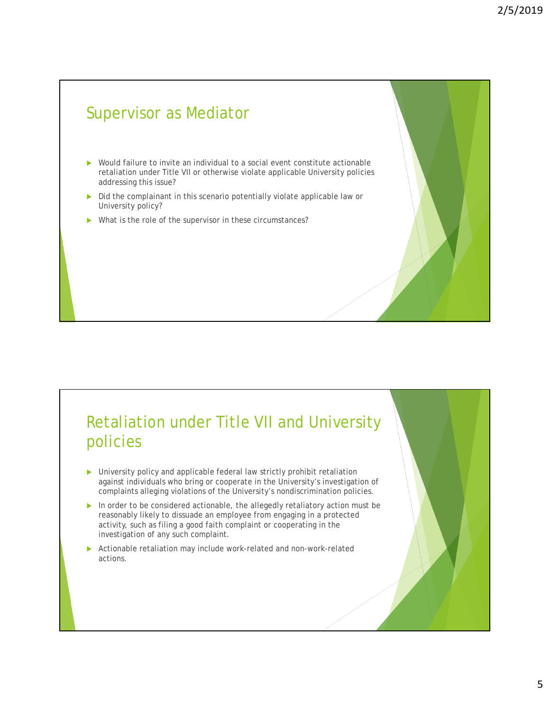## Supervisor as Mediator

- ▶ Would failure to invite an individual to a social event constitute actionable retaliation under Title VII or otherwise violate applicable University policies addressing this issue?
- Did the complainant in this scenario potentially violate applicable law or University policy?
- What is the role of the supervisor in these circumstances?

## Retaliation under Title VII and University policies

- ▶ University policy and applicable federal law strictly prohibit retaliation against individuals who bring or cooperate in the University's investigation of complaints alleging violations of the University's nondiscrimination policies.
- In order to be considered actionable, the allegedly retaliatory action must be reasonably likely to dissuade an employee from engaging in a protected activity, such as filing a good faith complaint or cooperating in the investigation of any such complaint.
- Actionable retaliation may include work-related and non-work-related actions.